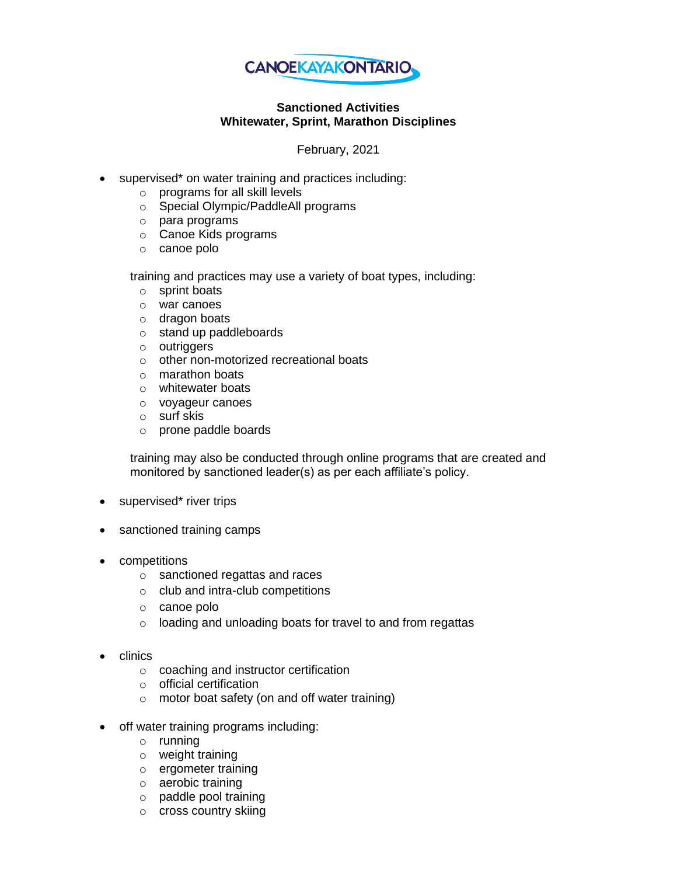

## **Sanctioned Activities Whitewater, Sprint, Marathon Disciplines**

February, 2021

- supervised\* on water training and practices including:
	- o programs for all skill levels
	- o Special Olympic/PaddleAll programs
	- o para programs
	- o Canoe Kids programs
	- o canoe polo

training and practices may use a variety of boat types, including:

- o sprint boats
- o war canoes
- o dragon boats
- o stand up paddleboards
- o outriggers
- o other non-motorized recreational boats
- o marathon boats
- o whitewater boats
- o voyageur canoes
- o surf skis
- o prone paddle boards

training may also be conducted through online programs that are created and monitored by sanctioned leader(s) as per each affiliate's policy.

- supervised\* river trips
- sanctioned training camps
- competitions
	- o sanctioned regattas and races
	- o club and intra-club competitions
	- o canoe polo
	- o loading and unloading boats for travel to and from regattas
- clinics
	- o coaching and instructor certification
	- o official certification
	- o motor boat safety (on and off water training)
- off water training programs including:
	- o running
	- o weight training
	- o ergometer training
	- o aerobic training
	- o paddle pool training
	- o cross country skiing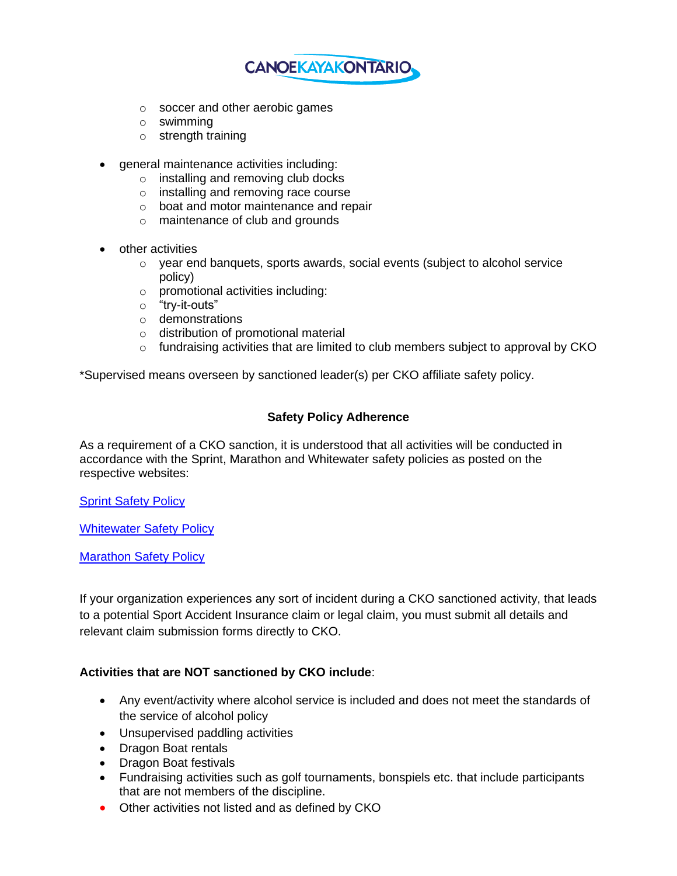

- o soccer and other aerobic games
- o swimming
- o strength training
- general maintenance activities including:
	- o installing and removing club docks
	- o installing and removing race course
	- o boat and motor maintenance and repair
	- o maintenance of club and grounds
- other activities
	- $\circ$  year end banquets, sports awards, social events (subject to alcohol service policy)
	- o promotional activities including:
	- o "try-it-outs"
	- o demonstrations
	- o distribution of promotional material
	- o fundraising activities that are limited to club members subject to approval by CKO

\*Supervised means overseen by sanctioned leader(s) per CKO affiliate safety policy.

## **Safety Policy Adherence**

As a requirement of a CKO sanction, it is understood that all activities will be conducted in accordance with the Sprint, Marathon and Whitewater safety policies as posted on the respective websites:

[Sprint Safety Policy](https://canoekayak.ca/wp-content/uploads/2019/06/CKC-Sprint-Code-of-Safety_June13_FINAL.pdf)

**[Whitewater Safety Policy](https://www.dropbox.com/s/50edfze1brf0ncp/Club%20Event%20And%20River%20Sanctioning%20Application%20Requirements.docx?dl=0)** 

[Marathon Safety Policy](http://nebula.wsimg.com/809325db099d6b8b79dd20b023577da5?AccessKeyId=1874666325100E24C2F9&disposition=0&alloworigin=1)

If your organization experiences any sort of incident during a CKO sanctioned activity, that leads to a potential Sport Accident Insurance claim or legal claim, you must submit all details and relevant claim submission forms directly to CKO.

## **Activities that are NOT sanctioned by CKO include**:

- Any event/activity where alcohol service is included and does not meet the standards of the service of alcohol policy
- Unsupervised paddling activities
- Dragon Boat rentals
- Dragon Boat festivals
- Fundraising activities such as golf tournaments, bonspiels etc. that include participants that are not members of the discipline.
- Other activities not listed and as defined by CKO